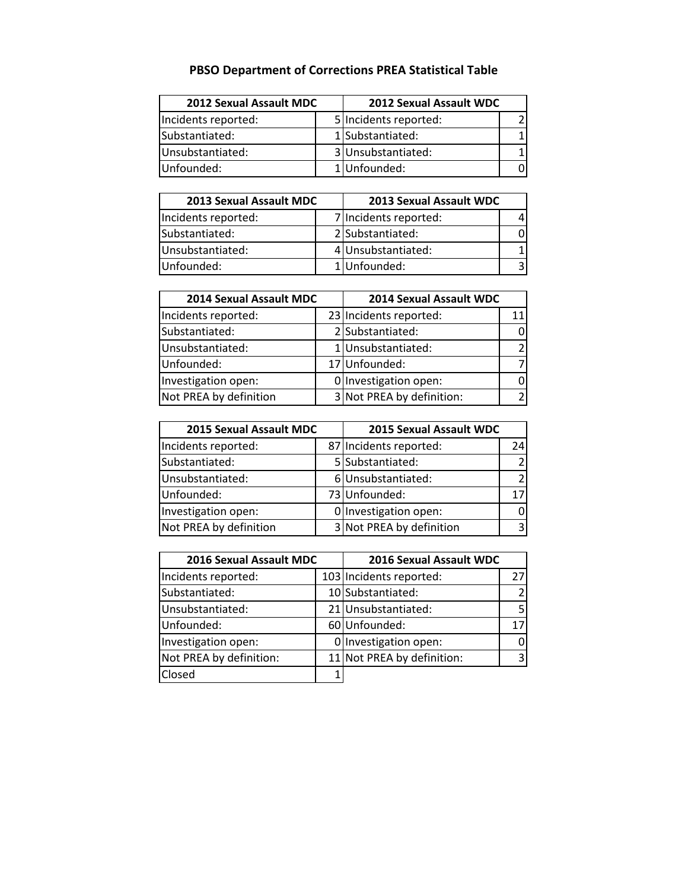## **PBSO Department of Corrections PREA Statistical Table**

| <b>2012 Sexual Assault MDC</b> |  | <b>2012 Sexual Assault WDC</b> |  |
|--------------------------------|--|--------------------------------|--|
| Incidents reported:            |  | 5 Incidents reported:          |  |
| Substantiated:                 |  | 1 Substantiated:               |  |
| Unsubstantiated:               |  | 3 Unsubstantiated:             |  |
| Unfounded:                     |  | 1Unfounded:                    |  |

| <b>2013 Sexual Assault MDC</b> |  | <b>2013 Sexual Assault WDC</b> |  |
|--------------------------------|--|--------------------------------|--|
| Incidents reported:            |  | 7 Incidents reported:          |  |
| Substantiated:                 |  | 2 Substantiated:               |  |
| Unsubstantiated:               |  | 4 Unsubstantiated:             |  |
| Unfounded:                     |  | 1Unfounded:                    |  |

| <b>2014 Sexual Assault MDC</b> |  | <b>2014 Sexual Assault WDC</b> |  |
|--------------------------------|--|--------------------------------|--|
| Incidents reported:            |  | 23 Incidents reported:         |  |
| Substantiated:                 |  | 2 Substantiated:               |  |
| Unsubstantiated:               |  | 1 Unsubstantiated:             |  |
| Unfounded:                     |  | 17 Unfounded:                  |  |
| Investigation open:            |  | 0 Investigation open:          |  |
| Not PREA by definition         |  | 3 Not PREA by definition:      |  |

| <b>2015 Sexual Assault MDC</b> | <b>2015 Sexual Assault WDC</b> |     |
|--------------------------------|--------------------------------|-----|
| Incidents reported:            | 87 Incidents reported:         | 24' |
| Substantiated:                 | 5 Substantiated:               |     |
| Unsubstantiated:               | 6Unsubstantiated:              |     |
| Unfounded:                     | 73 Unfounded:                  |     |
| Investigation open:            | 0 Investigation open:          |     |
| Not PREA by definition         | 3 Not PREA by definition       |     |

| 2016 Sexual Assault MDC | <b>2016 Sexual Assault WDC</b> |               |
|-------------------------|--------------------------------|---------------|
| Incidents reported:     | 103 Incidents reported:        | 27            |
| Substantiated:          | 10 Substantiated:              | $\mathcal{P}$ |
| Unsubstantiated:        | 21 Unsubstantiated:            | 5             |
| Unfounded:              | 60 Unfounded:                  | 17            |
| Investigation open:     | 0 Investigation open:          | O             |
| Not PREA by definition: | 11 Not PREA by definition:     | 3             |
| Closed                  |                                |               |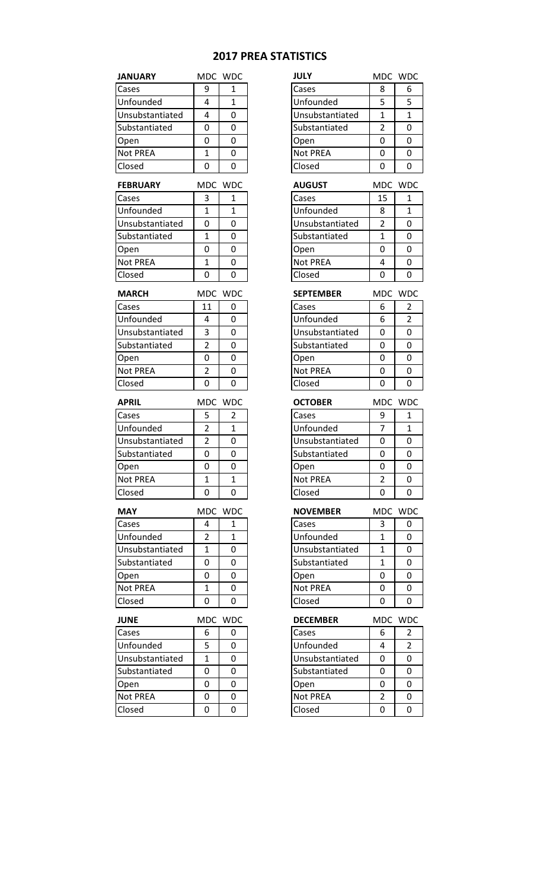| <b>JANUARY</b>            |                   | MDC WDC           | <b>JULY</b>               |                     | MDC WDC        |
|---------------------------|-------------------|-------------------|---------------------------|---------------------|----------------|
| Cases                     | 9                 | 1                 | Cases                     | 8                   | 6              |
| Unfounded                 | 4                 | $\mathbf{1}$      | Unfounded                 | 5                   | 5              |
| Unsubstantiated           | 4                 | 0                 | Unsubstantiated           | $\mathbf{1}$        | $\mathbf{1}$   |
| Substantiated             | 0                 | 0                 | Substantiated             | $\overline{2}$      | 0              |
| Open                      | 0                 | 0                 | Open                      | 0                   | 0              |
| <b>Not PREA</b>           | 1                 | 0                 | <b>Not PREA</b>           | 0                   | 0              |
| Closed                    | 0                 | 0                 | Closed                    | 0                   | 0              |
| <b>FEBRUARY</b>           |                   | MDC WDC           | <b>AUGUST</b>             |                     | MDC WDC        |
| Cases                     | 3                 | 1                 | Cases                     | 15                  | $\mathbf{1}$   |
| Unfounded                 | $\mathbf{1}$      | $\mathbf{1}$      | Unfounded                 | 8                   | $\mathbf{1}$   |
| Unsubstantiated           | 0                 | 0                 | Unsubstantiated           | $\overline{2}$      | 0              |
| Substantiated             | 1                 | 0                 | Substantiated             | 1                   | 0              |
| Open                      | 0                 | 0                 | Open                      | 0                   | 0              |
| <b>Not PREA</b>           | 1                 | 0                 | <b>Not PREA</b>           | 4                   | 0              |
| Closed                    | 0                 | 0                 | Closed                    | 0                   | 0              |
| <b>MARCH</b>              |                   | MDC WDC           | <b>SEPTEMBER</b>          |                     | MDC WDC        |
| Cases                     | 11                | 0                 | Cases                     | 6                   | 2              |
| Unfounded                 | 4                 | 0                 | Unfounded                 | 6                   | $\overline{2}$ |
| Unsubstantiated           | 3                 | 0                 | Unsubstantiated           | 0                   | 0              |
| Substantiated             | $\overline{2}$    | 0                 | Substantiated             | 0                   | 0              |
| Open                      | 0                 | 0                 | Open                      | 0                   | 0              |
| <b>Not PREA</b>           | $\overline{2}$    | 0                 | <b>Not PREA</b>           | 0                   | 0              |
| Closed                    | 0                 | 0                 | Closed                    | 0                   | 0              |
| <b>APRIL</b>              |                   | MDC WDC           | <b>OCTOBER</b>            |                     | MDC WDC        |
| Cases                     | 5                 | 2                 | Cases                     | 9                   | 1              |
| Unfounded                 | $\overline{2}$    | $\mathbf{1}$      | Unfounded                 | 7                   | $\mathbf{1}$   |
|                           |                   |                   | Unsubstantiated           |                     | 0              |
|                           |                   |                   |                           |                     |                |
| Unsubstantiated           | $\overline{2}$    | 0                 |                           | 0                   |                |
| Substantiated             | 0                 | 0                 | Substantiated             | 0                   | 0              |
| Open                      | 0                 | 0                 | Open                      | 0                   | 0              |
| Not PREA<br>Closed        | 1<br>0            | $\mathbf{1}$<br>0 | <b>Not PREA</b><br>Closed | $\overline{2}$<br>0 | 0<br>0         |
|                           |                   |                   |                           |                     |                |
| <b>MAY</b>                |                   | MDC WDC           | <b>NOVEMBER</b>           |                     | MDC WDC        |
| Cases                     | 4                 | 1                 | Cases                     | 3                   | 0              |
| Unfounded                 | $\overline{2}$    | 1                 | Unfounded                 | $\mathbf{1}$        | 0              |
| Unsubstantiated           | 1                 | 0                 | Unsubstantiated           | 1                   | 0              |
| Substantiated             | 0                 | 0                 | Substantiated             | 1                   | 0              |
| Open                      | 0                 | 0                 | Open                      | 0                   | 0              |
| <b>Not PREA</b><br>Closed | $\mathbf{1}$<br>0 | 0<br>0            | Not PREA<br>Closed        | 0<br>0              | 0<br>0         |
|                           |                   |                   |                           |                     |                |
| <b>JUNE</b><br>Cases      | 6                 | MDC WDC<br>0      | <b>DECEMBER</b><br>Cases  | 6                   | MDC WDC<br>2   |
|                           | 5                 | 0                 | Unfounded                 | 4                   | $\overline{2}$ |
| Unfounded                 | $\mathbf{1}$      | 0                 |                           | 0                   | 0              |
| Unsubstantiated           |                   |                   | Unsubstantiated           |                     |                |
| Substantiated             | 0                 | 0                 | Substantiated             | 0                   | 0              |
| Open                      | 0                 | 0                 | Open                      | 0                   | 0              |
| Not PREA<br>Closed        | 0<br>0            | 0<br>0            | Not PREA<br>Closed        | 2<br>0              | 0<br>0         |

| JULY             |                         | MDC WDC        |
|------------------|-------------------------|----------------|
| Cases            | 8                       | 6              |
| Unfounded        | 5                       | 5              |
| Unsubstantiated  | $\mathbf{1}$            | $\overline{1}$ |
| Substantiated    | $\overline{2}$          | 0              |
| Open             | 0                       | 0              |
| Not PREA         | 0                       | 0              |
| Closed           | 0                       | 0              |
| <b>AUGUST</b>    | <b>MDC</b>              | <b>WDC</b>     |
| Cases            | 15                      | 1              |
| Unfounded        | 8                       | $\mathbf 1$    |
| Unsubstantiated  | $\overline{2}$          | 0              |
| Substantiated    | $\overline{1}$          | 0              |
| Open             | 0                       | $\overline{0}$ |
| Not PREA         | $\overline{4}$          | 0              |
| Closed           | 0                       | 0              |
|                  |                         |                |
| <b>SEPTEMBER</b> | <b>MDC</b>              | <b>WDC</b>     |
| Cases            | 6                       | $\overline{2}$ |
| Unfounded        | 6                       | $\overline{c}$ |
| Unsubstantiated  | 0                       | 0              |
| Substantiated    | 0                       | 0              |
| Open             | 0                       | 0              |
| Not PREA         | $\overline{0}$          | $\overline{0}$ |
| Closed           | 0                       | 0              |
| <b>OCTOBER</b>   | MDC                     | <b>WDC</b>     |
|                  |                         |                |
| Cases            | 9                       | 1              |
| Unfounded        | 7                       | $\mathbf 1$    |
| Unsubstantiated  | 0                       | 0              |
| Substantiated    | 0                       | 0              |
| Open             | 0                       | 0              |
| <b>Not PREA</b>  | $\overline{2}$          | 0              |
| Closed           | 0                       | $\overline{0}$ |
| <b>NOVEMBER</b>  | MDC                     | <b>WDC</b>     |
| Cases            | 3                       | 0              |
| Unfounded        | 1                       | 0              |
| Unsubstantiated  | 1                       | 0              |
| Substantiated    | 1                       | 0              |
| Open             | 0                       | 0              |
| Not PREA         | 0                       | 0              |
| Closed           | 0                       | 0              |
| <b>DECEMBER</b>  | MDC                     | WDC            |
| Cases            | 6                       | $\overline{2}$ |
| Unfounded        | 4                       | $\overline{c}$ |
| Unsubstantiated  | 0                       | 0              |
| Substantiated    | 0                       | 0              |
| Open             | 0                       | 0              |
| Not PREA         | $\overline{\mathbf{c}}$ | 0              |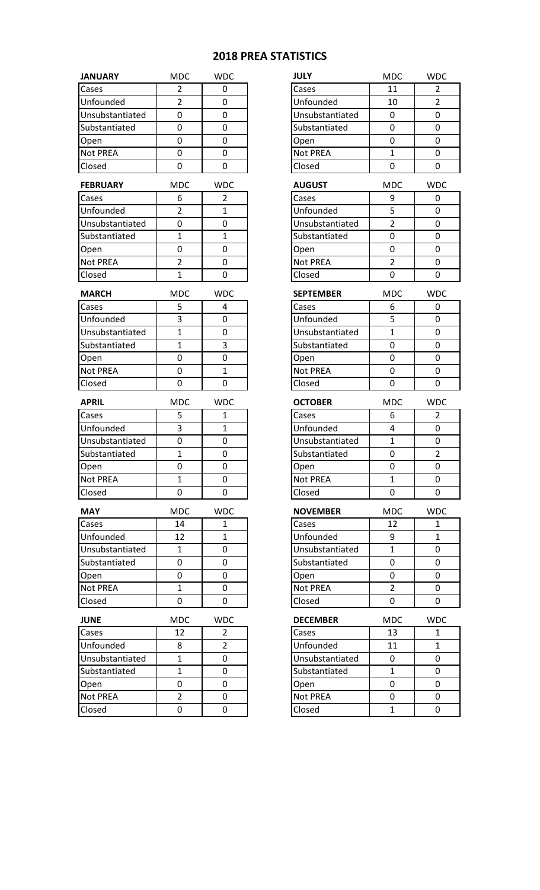| Cases<br>11<br>Cases<br>2<br>0<br>$\overline{2}$<br>$\overline{2}$<br>$\overline{2}$<br>Unfounded<br>Unfounded<br>0<br>10<br>0<br>$\mathbf 0$<br>0<br>Unsubstantiated<br>Unsubstantiated<br>0<br>0<br>0<br>0<br>0<br>Substantiated<br>Substantiated<br>$\mathbf 0$<br>$\mathbf 0$<br>0<br>0<br>Open<br>Open<br>0<br>$\mathbf{1}$<br><b>Not PREA</b><br>0<br><b>Not PREA</b><br>0<br>Closed<br>Closed<br>0<br>0<br>0<br>0<br><b>FEBRUARY</b><br><b>MDC</b><br><b>WDC</b><br><b>MDC</b><br><b>AUGUST</b><br>Cases<br>$\overline{2}$<br>Cases<br>6<br>9<br>0<br>5<br>$\overline{2}$<br>$\mathbf{1}$<br>Unfounded<br>Unfounded<br>0<br>$\overline{2}$<br>0<br>0<br>0<br>Unsubstantiated<br>Unsubstantiated<br>$\mathbf{1}$<br>$\mathbf{1}$<br>Substantiated<br>Substantiated<br>0<br>0<br>$\pmb{0}$<br>$\pmb{0}$<br>0<br>0<br>Open<br>Open<br>$\overline{2}$<br><b>Not PREA</b><br>$\mathbf 0$<br><b>Not PREA</b><br>$\overline{2}$<br>0<br>$\mathbf{1}$<br>0<br>0<br>0<br>Closed<br>Closed<br><b>MDC</b><br><b>WDC</b><br><b>MDC</b><br><b>WDC</b><br><b>MARCH</b><br><b>SEPTEMBER</b><br>5<br>4<br>Cases<br>6<br>Cases<br>0<br>Unfounded<br>3<br>Unfounded<br>5<br>0<br>0<br>$\mathbf{1}$<br>$\mathbf 0$<br>$\mathbf{1}$<br>Unsubstantiated<br>0<br>Unsubstantiated<br>$\mathbf{1}$<br>3<br>0<br>0<br>Substantiated<br>Substantiated<br>0<br>$\mathbf 0$<br>0<br>$\mathbf 0$<br>Open<br>Open<br>$\pmb{0}$<br>0<br><b>Not PREA</b><br>$\mathbf{1}$<br>Not PREA<br>0<br>0<br>Closed<br>0<br>Closed<br>0<br>0<br><b>APRIL</b><br><b>MDC</b><br><b>WDC</b><br><b>OCTOBER</b><br><b>MDC</b><br>Cases<br>5<br>$\mathbf{1}$<br>Cases<br>6<br>$2^{\circ}$<br>Unfounded<br>3<br>Unfounded<br>$\mathbf{1}$<br>4<br>$\mathbf 0$<br>0<br>$\mathbf 0$<br>$\mathbf{1}$<br>Unsubstantiated<br>Unsubstantiated<br>$\pmb{0}$<br>$\overline{2}$<br>Substantiated<br>$\mathbf{1}$<br>0<br>Substantiated<br>0<br>0<br>Open<br>U<br>U<br>Open<br>U<br>$\mathbf{1}$<br>$\mathbf 0$<br>$\mathbf{1}$<br><b>Not PREA</b><br>Not PREA<br>$\mathbf 0$<br>0<br>0<br>0<br>Closed<br>Closed<br>0<br><b>MAY</b><br><b>MDC</b><br><b>WDC</b><br><b>NOVEMBER</b><br><b>MDC</b><br>Cases<br>14<br>Cases<br>12<br>1<br>1<br>Unfounded<br>Unfounded<br>12<br>9<br>$\mathbf{1}$<br>$\mathbf{1}$<br>0<br>Unsubstantiated<br>$\mathbf{1}$<br>Unsubstantiated<br>$\mathbf{1}$<br>0<br>0<br>0<br>0<br>Substantiated<br>Substantiated<br>0<br>0<br>$\mathbf 0$<br>0<br>0<br>Open<br>Open<br>$\overline{2}$<br>Not PREA<br>$\mathbf{1}$<br>0<br>Not PREA<br>0<br>Closed<br>0<br>0<br>Closed<br>0<br>0<br><b>JUNE</b><br><b>WDC</b><br><b>MDC</b><br><b>DECEMBER</b><br><b>MDC</b><br><b>WDC</b><br>12<br>$\overline{2}$<br>13<br>Cases<br>Cases<br>1<br>$\overline{2}$<br>Unfounded<br>Unfounded<br>8<br>11<br>$\mathbf{1}$<br>$\mathbf{1}$<br>0<br>Unsubstantiated<br>Unsubstantiated<br>0<br>0<br>$\mathbf{1}$<br>$\mathbf 0$<br>$\mathbf{1}$<br>0<br>Substantiated<br>Substantiated<br>0<br>0<br>0<br>0<br>Open<br>Open<br>Not PREA<br>$\overline{2}$<br>0<br>Not PREA<br>0<br>$\mathbf 0$<br>$\pmb{0}$<br>0<br>$\mathbf{1}$<br>Closed<br>Closed<br>0 | <b>JANUARY</b> | <b>MDC</b> | <b>WDC</b> | <b>JULY</b> | <b>MDC</b> | <b>WDC</b> |
|-------------------------------------------------------------------------------------------------------------------------------------------------------------------------------------------------------------------------------------------------------------------------------------------------------------------------------------------------------------------------------------------------------------------------------------------------------------------------------------------------------------------------------------------------------------------------------------------------------------------------------------------------------------------------------------------------------------------------------------------------------------------------------------------------------------------------------------------------------------------------------------------------------------------------------------------------------------------------------------------------------------------------------------------------------------------------------------------------------------------------------------------------------------------------------------------------------------------------------------------------------------------------------------------------------------------------------------------------------------------------------------------------------------------------------------------------------------------------------------------------------------------------------------------------------------------------------------------------------------------------------------------------------------------------------------------------------------------------------------------------------------------------------------------------------------------------------------------------------------------------------------------------------------------------------------------------------------------------------------------------------------------------------------------------------------------------------------------------------------------------------------------------------------------------------------------------------------------------------------------------------------------------------------------------------------------------------------------------------------------------------------------------------------------------------------------------------------------------------------------------------------------------------------------------------------------------------------------------------------------------------------------------------------------------------------------------------------------------------------------------------------------------------------------------------------------------------------------------------------------------------------------------------------------------------------------------------------------------------------------------------------------------------------------------------------------------------------------------------------|----------------|------------|------------|-------------|------------|------------|
|                                                                                                                                                                                                                                                                                                                                                                                                                                                                                                                                                                                                                                                                                                                                                                                                                                                                                                                                                                                                                                                                                                                                                                                                                                                                                                                                                                                                                                                                                                                                                                                                                                                                                                                                                                                                                                                                                                                                                                                                                                                                                                                                                                                                                                                                                                                                                                                                                                                                                                                                                                                                                                                                                                                                                                                                                                                                                                                                                                                                                                                                                                             |                |            |            |             |            |            |
|                                                                                                                                                                                                                                                                                                                                                                                                                                                                                                                                                                                                                                                                                                                                                                                                                                                                                                                                                                                                                                                                                                                                                                                                                                                                                                                                                                                                                                                                                                                                                                                                                                                                                                                                                                                                                                                                                                                                                                                                                                                                                                                                                                                                                                                                                                                                                                                                                                                                                                                                                                                                                                                                                                                                                                                                                                                                                                                                                                                                                                                                                                             |                |            |            |             |            |            |
|                                                                                                                                                                                                                                                                                                                                                                                                                                                                                                                                                                                                                                                                                                                                                                                                                                                                                                                                                                                                                                                                                                                                                                                                                                                                                                                                                                                                                                                                                                                                                                                                                                                                                                                                                                                                                                                                                                                                                                                                                                                                                                                                                                                                                                                                                                                                                                                                                                                                                                                                                                                                                                                                                                                                                                                                                                                                                                                                                                                                                                                                                                             |                |            |            |             |            |            |
|                                                                                                                                                                                                                                                                                                                                                                                                                                                                                                                                                                                                                                                                                                                                                                                                                                                                                                                                                                                                                                                                                                                                                                                                                                                                                                                                                                                                                                                                                                                                                                                                                                                                                                                                                                                                                                                                                                                                                                                                                                                                                                                                                                                                                                                                                                                                                                                                                                                                                                                                                                                                                                                                                                                                                                                                                                                                                                                                                                                                                                                                                                             |                |            |            |             |            |            |
|                                                                                                                                                                                                                                                                                                                                                                                                                                                                                                                                                                                                                                                                                                                                                                                                                                                                                                                                                                                                                                                                                                                                                                                                                                                                                                                                                                                                                                                                                                                                                                                                                                                                                                                                                                                                                                                                                                                                                                                                                                                                                                                                                                                                                                                                                                                                                                                                                                                                                                                                                                                                                                                                                                                                                                                                                                                                                                                                                                                                                                                                                                             |                |            |            |             |            |            |
|                                                                                                                                                                                                                                                                                                                                                                                                                                                                                                                                                                                                                                                                                                                                                                                                                                                                                                                                                                                                                                                                                                                                                                                                                                                                                                                                                                                                                                                                                                                                                                                                                                                                                                                                                                                                                                                                                                                                                                                                                                                                                                                                                                                                                                                                                                                                                                                                                                                                                                                                                                                                                                                                                                                                                                                                                                                                                                                                                                                                                                                                                                             |                |            |            |             |            |            |
|                                                                                                                                                                                                                                                                                                                                                                                                                                                                                                                                                                                                                                                                                                                                                                                                                                                                                                                                                                                                                                                                                                                                                                                                                                                                                                                                                                                                                                                                                                                                                                                                                                                                                                                                                                                                                                                                                                                                                                                                                                                                                                                                                                                                                                                                                                                                                                                                                                                                                                                                                                                                                                                                                                                                                                                                                                                                                                                                                                                                                                                                                                             |                |            |            |             |            |            |
|                                                                                                                                                                                                                                                                                                                                                                                                                                                                                                                                                                                                                                                                                                                                                                                                                                                                                                                                                                                                                                                                                                                                                                                                                                                                                                                                                                                                                                                                                                                                                                                                                                                                                                                                                                                                                                                                                                                                                                                                                                                                                                                                                                                                                                                                                                                                                                                                                                                                                                                                                                                                                                                                                                                                                                                                                                                                                                                                                                                                                                                                                                             |                |            |            |             |            | <b>WDC</b> |
|                                                                                                                                                                                                                                                                                                                                                                                                                                                                                                                                                                                                                                                                                                                                                                                                                                                                                                                                                                                                                                                                                                                                                                                                                                                                                                                                                                                                                                                                                                                                                                                                                                                                                                                                                                                                                                                                                                                                                                                                                                                                                                                                                                                                                                                                                                                                                                                                                                                                                                                                                                                                                                                                                                                                                                                                                                                                                                                                                                                                                                                                                                             |                |            |            |             |            |            |
|                                                                                                                                                                                                                                                                                                                                                                                                                                                                                                                                                                                                                                                                                                                                                                                                                                                                                                                                                                                                                                                                                                                                                                                                                                                                                                                                                                                                                                                                                                                                                                                                                                                                                                                                                                                                                                                                                                                                                                                                                                                                                                                                                                                                                                                                                                                                                                                                                                                                                                                                                                                                                                                                                                                                                                                                                                                                                                                                                                                                                                                                                                             |                |            |            |             |            |            |
|                                                                                                                                                                                                                                                                                                                                                                                                                                                                                                                                                                                                                                                                                                                                                                                                                                                                                                                                                                                                                                                                                                                                                                                                                                                                                                                                                                                                                                                                                                                                                                                                                                                                                                                                                                                                                                                                                                                                                                                                                                                                                                                                                                                                                                                                                                                                                                                                                                                                                                                                                                                                                                                                                                                                                                                                                                                                                                                                                                                                                                                                                                             |                |            |            |             |            |            |
|                                                                                                                                                                                                                                                                                                                                                                                                                                                                                                                                                                                                                                                                                                                                                                                                                                                                                                                                                                                                                                                                                                                                                                                                                                                                                                                                                                                                                                                                                                                                                                                                                                                                                                                                                                                                                                                                                                                                                                                                                                                                                                                                                                                                                                                                                                                                                                                                                                                                                                                                                                                                                                                                                                                                                                                                                                                                                                                                                                                                                                                                                                             |                |            |            |             |            |            |
|                                                                                                                                                                                                                                                                                                                                                                                                                                                                                                                                                                                                                                                                                                                                                                                                                                                                                                                                                                                                                                                                                                                                                                                                                                                                                                                                                                                                                                                                                                                                                                                                                                                                                                                                                                                                                                                                                                                                                                                                                                                                                                                                                                                                                                                                                                                                                                                                                                                                                                                                                                                                                                                                                                                                                                                                                                                                                                                                                                                                                                                                                                             |                |            |            |             |            |            |
|                                                                                                                                                                                                                                                                                                                                                                                                                                                                                                                                                                                                                                                                                                                                                                                                                                                                                                                                                                                                                                                                                                                                                                                                                                                                                                                                                                                                                                                                                                                                                                                                                                                                                                                                                                                                                                                                                                                                                                                                                                                                                                                                                                                                                                                                                                                                                                                                                                                                                                                                                                                                                                                                                                                                                                                                                                                                                                                                                                                                                                                                                                             |                |            |            |             |            |            |
|                                                                                                                                                                                                                                                                                                                                                                                                                                                                                                                                                                                                                                                                                                                                                                                                                                                                                                                                                                                                                                                                                                                                                                                                                                                                                                                                                                                                                                                                                                                                                                                                                                                                                                                                                                                                                                                                                                                                                                                                                                                                                                                                                                                                                                                                                                                                                                                                                                                                                                                                                                                                                                                                                                                                                                                                                                                                                                                                                                                                                                                                                                             |                |            |            |             |            |            |
|                                                                                                                                                                                                                                                                                                                                                                                                                                                                                                                                                                                                                                                                                                                                                                                                                                                                                                                                                                                                                                                                                                                                                                                                                                                                                                                                                                                                                                                                                                                                                                                                                                                                                                                                                                                                                                                                                                                                                                                                                                                                                                                                                                                                                                                                                                                                                                                                                                                                                                                                                                                                                                                                                                                                                                                                                                                                                                                                                                                                                                                                                                             |                |            |            |             |            |            |
|                                                                                                                                                                                                                                                                                                                                                                                                                                                                                                                                                                                                                                                                                                                                                                                                                                                                                                                                                                                                                                                                                                                                                                                                                                                                                                                                                                                                                                                                                                                                                                                                                                                                                                                                                                                                                                                                                                                                                                                                                                                                                                                                                                                                                                                                                                                                                                                                                                                                                                                                                                                                                                                                                                                                                                                                                                                                                                                                                                                                                                                                                                             |                |            |            |             |            |            |
|                                                                                                                                                                                                                                                                                                                                                                                                                                                                                                                                                                                                                                                                                                                                                                                                                                                                                                                                                                                                                                                                                                                                                                                                                                                                                                                                                                                                                                                                                                                                                                                                                                                                                                                                                                                                                                                                                                                                                                                                                                                                                                                                                                                                                                                                                                                                                                                                                                                                                                                                                                                                                                                                                                                                                                                                                                                                                                                                                                                                                                                                                                             |                |            |            |             |            |            |
|                                                                                                                                                                                                                                                                                                                                                                                                                                                                                                                                                                                                                                                                                                                                                                                                                                                                                                                                                                                                                                                                                                                                                                                                                                                                                                                                                                                                                                                                                                                                                                                                                                                                                                                                                                                                                                                                                                                                                                                                                                                                                                                                                                                                                                                                                                                                                                                                                                                                                                                                                                                                                                                                                                                                                                                                                                                                                                                                                                                                                                                                                                             |                |            |            |             |            |            |
|                                                                                                                                                                                                                                                                                                                                                                                                                                                                                                                                                                                                                                                                                                                                                                                                                                                                                                                                                                                                                                                                                                                                                                                                                                                                                                                                                                                                                                                                                                                                                                                                                                                                                                                                                                                                                                                                                                                                                                                                                                                                                                                                                                                                                                                                                                                                                                                                                                                                                                                                                                                                                                                                                                                                                                                                                                                                                                                                                                                                                                                                                                             |                |            |            |             |            |            |
|                                                                                                                                                                                                                                                                                                                                                                                                                                                                                                                                                                                                                                                                                                                                                                                                                                                                                                                                                                                                                                                                                                                                                                                                                                                                                                                                                                                                                                                                                                                                                                                                                                                                                                                                                                                                                                                                                                                                                                                                                                                                                                                                                                                                                                                                                                                                                                                                                                                                                                                                                                                                                                                                                                                                                                                                                                                                                                                                                                                                                                                                                                             |                |            |            |             |            |            |
|                                                                                                                                                                                                                                                                                                                                                                                                                                                                                                                                                                                                                                                                                                                                                                                                                                                                                                                                                                                                                                                                                                                                                                                                                                                                                                                                                                                                                                                                                                                                                                                                                                                                                                                                                                                                                                                                                                                                                                                                                                                                                                                                                                                                                                                                                                                                                                                                                                                                                                                                                                                                                                                                                                                                                                                                                                                                                                                                                                                                                                                                                                             |                |            |            |             |            |            |
|                                                                                                                                                                                                                                                                                                                                                                                                                                                                                                                                                                                                                                                                                                                                                                                                                                                                                                                                                                                                                                                                                                                                                                                                                                                                                                                                                                                                                                                                                                                                                                                                                                                                                                                                                                                                                                                                                                                                                                                                                                                                                                                                                                                                                                                                                                                                                                                                                                                                                                                                                                                                                                                                                                                                                                                                                                                                                                                                                                                                                                                                                                             |                |            |            |             |            |            |
|                                                                                                                                                                                                                                                                                                                                                                                                                                                                                                                                                                                                                                                                                                                                                                                                                                                                                                                                                                                                                                                                                                                                                                                                                                                                                                                                                                                                                                                                                                                                                                                                                                                                                                                                                                                                                                                                                                                                                                                                                                                                                                                                                                                                                                                                                                                                                                                                                                                                                                                                                                                                                                                                                                                                                                                                                                                                                                                                                                                                                                                                                                             |                |            |            |             |            |            |
|                                                                                                                                                                                                                                                                                                                                                                                                                                                                                                                                                                                                                                                                                                                                                                                                                                                                                                                                                                                                                                                                                                                                                                                                                                                                                                                                                                                                                                                                                                                                                                                                                                                                                                                                                                                                                                                                                                                                                                                                                                                                                                                                                                                                                                                                                                                                                                                                                                                                                                                                                                                                                                                                                                                                                                                                                                                                                                                                                                                                                                                                                                             |                |            |            |             |            | <b>WDC</b> |
|                                                                                                                                                                                                                                                                                                                                                                                                                                                                                                                                                                                                                                                                                                                                                                                                                                                                                                                                                                                                                                                                                                                                                                                                                                                                                                                                                                                                                                                                                                                                                                                                                                                                                                                                                                                                                                                                                                                                                                                                                                                                                                                                                                                                                                                                                                                                                                                                                                                                                                                                                                                                                                                                                                                                                                                                                                                                                                                                                                                                                                                                                                             |                |            |            |             |            |            |
|                                                                                                                                                                                                                                                                                                                                                                                                                                                                                                                                                                                                                                                                                                                                                                                                                                                                                                                                                                                                                                                                                                                                                                                                                                                                                                                                                                                                                                                                                                                                                                                                                                                                                                                                                                                                                                                                                                                                                                                                                                                                                                                                                                                                                                                                                                                                                                                                                                                                                                                                                                                                                                                                                                                                                                                                                                                                                                                                                                                                                                                                                                             |                |            |            |             |            |            |
|                                                                                                                                                                                                                                                                                                                                                                                                                                                                                                                                                                                                                                                                                                                                                                                                                                                                                                                                                                                                                                                                                                                                                                                                                                                                                                                                                                                                                                                                                                                                                                                                                                                                                                                                                                                                                                                                                                                                                                                                                                                                                                                                                                                                                                                                                                                                                                                                                                                                                                                                                                                                                                                                                                                                                                                                                                                                                                                                                                                                                                                                                                             |                |            |            |             |            |            |
|                                                                                                                                                                                                                                                                                                                                                                                                                                                                                                                                                                                                                                                                                                                                                                                                                                                                                                                                                                                                                                                                                                                                                                                                                                                                                                                                                                                                                                                                                                                                                                                                                                                                                                                                                                                                                                                                                                                                                                                                                                                                                                                                                                                                                                                                                                                                                                                                                                                                                                                                                                                                                                                                                                                                                                                                                                                                                                                                                                                                                                                                                                             |                |            |            |             |            |            |
|                                                                                                                                                                                                                                                                                                                                                                                                                                                                                                                                                                                                                                                                                                                                                                                                                                                                                                                                                                                                                                                                                                                                                                                                                                                                                                                                                                                                                                                                                                                                                                                                                                                                                                                                                                                                                                                                                                                                                                                                                                                                                                                                                                                                                                                                                                                                                                                                                                                                                                                                                                                                                                                                                                                                                                                                                                                                                                                                                                                                                                                                                                             |                |            |            |             |            |            |
|                                                                                                                                                                                                                                                                                                                                                                                                                                                                                                                                                                                                                                                                                                                                                                                                                                                                                                                                                                                                                                                                                                                                                                                                                                                                                                                                                                                                                                                                                                                                                                                                                                                                                                                                                                                                                                                                                                                                                                                                                                                                                                                                                                                                                                                                                                                                                                                                                                                                                                                                                                                                                                                                                                                                                                                                                                                                                                                                                                                                                                                                                                             |                |            |            |             |            |            |
|                                                                                                                                                                                                                                                                                                                                                                                                                                                                                                                                                                                                                                                                                                                                                                                                                                                                                                                                                                                                                                                                                                                                                                                                                                                                                                                                                                                                                                                                                                                                                                                                                                                                                                                                                                                                                                                                                                                                                                                                                                                                                                                                                                                                                                                                                                                                                                                                                                                                                                                                                                                                                                                                                                                                                                                                                                                                                                                                                                                                                                                                                                             |                |            |            |             |            |            |
|                                                                                                                                                                                                                                                                                                                                                                                                                                                                                                                                                                                                                                                                                                                                                                                                                                                                                                                                                                                                                                                                                                                                                                                                                                                                                                                                                                                                                                                                                                                                                                                                                                                                                                                                                                                                                                                                                                                                                                                                                                                                                                                                                                                                                                                                                                                                                                                                                                                                                                                                                                                                                                                                                                                                                                                                                                                                                                                                                                                                                                                                                                             |                |            |            |             |            | <b>WDC</b> |
|                                                                                                                                                                                                                                                                                                                                                                                                                                                                                                                                                                                                                                                                                                                                                                                                                                                                                                                                                                                                                                                                                                                                                                                                                                                                                                                                                                                                                                                                                                                                                                                                                                                                                                                                                                                                                                                                                                                                                                                                                                                                                                                                                                                                                                                                                                                                                                                                                                                                                                                                                                                                                                                                                                                                                                                                                                                                                                                                                                                                                                                                                                             |                |            |            |             |            |            |
|                                                                                                                                                                                                                                                                                                                                                                                                                                                                                                                                                                                                                                                                                                                                                                                                                                                                                                                                                                                                                                                                                                                                                                                                                                                                                                                                                                                                                                                                                                                                                                                                                                                                                                                                                                                                                                                                                                                                                                                                                                                                                                                                                                                                                                                                                                                                                                                                                                                                                                                                                                                                                                                                                                                                                                                                                                                                                                                                                                                                                                                                                                             |                |            |            |             |            |            |
|                                                                                                                                                                                                                                                                                                                                                                                                                                                                                                                                                                                                                                                                                                                                                                                                                                                                                                                                                                                                                                                                                                                                                                                                                                                                                                                                                                                                                                                                                                                                                                                                                                                                                                                                                                                                                                                                                                                                                                                                                                                                                                                                                                                                                                                                                                                                                                                                                                                                                                                                                                                                                                                                                                                                                                                                                                                                                                                                                                                                                                                                                                             |                |            |            |             |            |            |
|                                                                                                                                                                                                                                                                                                                                                                                                                                                                                                                                                                                                                                                                                                                                                                                                                                                                                                                                                                                                                                                                                                                                                                                                                                                                                                                                                                                                                                                                                                                                                                                                                                                                                                                                                                                                                                                                                                                                                                                                                                                                                                                                                                                                                                                                                                                                                                                                                                                                                                                                                                                                                                                                                                                                                                                                                                                                                                                                                                                                                                                                                                             |                |            |            |             |            |            |
|                                                                                                                                                                                                                                                                                                                                                                                                                                                                                                                                                                                                                                                                                                                                                                                                                                                                                                                                                                                                                                                                                                                                                                                                                                                                                                                                                                                                                                                                                                                                                                                                                                                                                                                                                                                                                                                                                                                                                                                                                                                                                                                                                                                                                                                                                                                                                                                                                                                                                                                                                                                                                                                                                                                                                                                                                                                                                                                                                                                                                                                                                                             |                |            |            |             |            |            |
|                                                                                                                                                                                                                                                                                                                                                                                                                                                                                                                                                                                                                                                                                                                                                                                                                                                                                                                                                                                                                                                                                                                                                                                                                                                                                                                                                                                                                                                                                                                                                                                                                                                                                                                                                                                                                                                                                                                                                                                                                                                                                                                                                                                                                                                                                                                                                                                                                                                                                                                                                                                                                                                                                                                                                                                                                                                                                                                                                                                                                                                                                                             |                |            |            |             |            |            |
|                                                                                                                                                                                                                                                                                                                                                                                                                                                                                                                                                                                                                                                                                                                                                                                                                                                                                                                                                                                                                                                                                                                                                                                                                                                                                                                                                                                                                                                                                                                                                                                                                                                                                                                                                                                                                                                                                                                                                                                                                                                                                                                                                                                                                                                                                                                                                                                                                                                                                                                                                                                                                                                                                                                                                                                                                                                                                                                                                                                                                                                                                                             |                |            |            |             |            |            |
|                                                                                                                                                                                                                                                                                                                                                                                                                                                                                                                                                                                                                                                                                                                                                                                                                                                                                                                                                                                                                                                                                                                                                                                                                                                                                                                                                                                                                                                                                                                                                                                                                                                                                                                                                                                                                                                                                                                                                                                                                                                                                                                                                                                                                                                                                                                                                                                                                                                                                                                                                                                                                                                                                                                                                                                                                                                                                                                                                                                                                                                                                                             |                |            |            |             |            |            |
|                                                                                                                                                                                                                                                                                                                                                                                                                                                                                                                                                                                                                                                                                                                                                                                                                                                                                                                                                                                                                                                                                                                                                                                                                                                                                                                                                                                                                                                                                                                                                                                                                                                                                                                                                                                                                                                                                                                                                                                                                                                                                                                                                                                                                                                                                                                                                                                                                                                                                                                                                                                                                                                                                                                                                                                                                                                                                                                                                                                                                                                                                                             |                |            |            |             |            |            |
|                                                                                                                                                                                                                                                                                                                                                                                                                                                                                                                                                                                                                                                                                                                                                                                                                                                                                                                                                                                                                                                                                                                                                                                                                                                                                                                                                                                                                                                                                                                                                                                                                                                                                                                                                                                                                                                                                                                                                                                                                                                                                                                                                                                                                                                                                                                                                                                                                                                                                                                                                                                                                                                                                                                                                                                                                                                                                                                                                                                                                                                                                                             |                |            |            |             |            |            |
|                                                                                                                                                                                                                                                                                                                                                                                                                                                                                                                                                                                                                                                                                                                                                                                                                                                                                                                                                                                                                                                                                                                                                                                                                                                                                                                                                                                                                                                                                                                                                                                                                                                                                                                                                                                                                                                                                                                                                                                                                                                                                                                                                                                                                                                                                                                                                                                                                                                                                                                                                                                                                                                                                                                                                                                                                                                                                                                                                                                                                                                                                                             |                |            |            |             |            |            |
|                                                                                                                                                                                                                                                                                                                                                                                                                                                                                                                                                                                                                                                                                                                                                                                                                                                                                                                                                                                                                                                                                                                                                                                                                                                                                                                                                                                                                                                                                                                                                                                                                                                                                                                                                                                                                                                                                                                                                                                                                                                                                                                                                                                                                                                                                                                                                                                                                                                                                                                                                                                                                                                                                                                                                                                                                                                                                                                                                                                                                                                                                                             |                |            |            |             |            |            |
|                                                                                                                                                                                                                                                                                                                                                                                                                                                                                                                                                                                                                                                                                                                                                                                                                                                                                                                                                                                                                                                                                                                                                                                                                                                                                                                                                                                                                                                                                                                                                                                                                                                                                                                                                                                                                                                                                                                                                                                                                                                                                                                                                                                                                                                                                                                                                                                                                                                                                                                                                                                                                                                                                                                                                                                                                                                                                                                                                                                                                                                                                                             |                |            |            |             |            |            |
|                                                                                                                                                                                                                                                                                                                                                                                                                                                                                                                                                                                                                                                                                                                                                                                                                                                                                                                                                                                                                                                                                                                                                                                                                                                                                                                                                                                                                                                                                                                                                                                                                                                                                                                                                                                                                                                                                                                                                                                                                                                                                                                                                                                                                                                                                                                                                                                                                                                                                                                                                                                                                                                                                                                                                                                                                                                                                                                                                                                                                                                                                                             |                |            |            |             |            |            |
|                                                                                                                                                                                                                                                                                                                                                                                                                                                                                                                                                                                                                                                                                                                                                                                                                                                                                                                                                                                                                                                                                                                                                                                                                                                                                                                                                                                                                                                                                                                                                                                                                                                                                                                                                                                                                                                                                                                                                                                                                                                                                                                                                                                                                                                                                                                                                                                                                                                                                                                                                                                                                                                                                                                                                                                                                                                                                                                                                                                                                                                                                                             |                |            |            |             |            |            |

| <b>JULY</b>      | <b>MDC</b>     | <b>WDC</b>     |
|------------------|----------------|----------------|
| Cases            | 11             | $\overline{2}$ |
| Unfounded        | 10             | $\overline{2}$ |
| Unsubstantiated  | 0              | 0              |
| Substantiated    | 0              | 0              |
| Open             | 0              | 0              |
| <b>Not PREA</b>  | $\overline{1}$ | 0              |
| Closed           | 0              | 0              |
| <b>AUGUST</b>    | <b>MDC</b>     | <b>WDC</b>     |
| Cases            | 9              | 0              |
| Unfounded        | 5              | 0              |
| Unsubstantiated  | $\overline{2}$ | 0              |
| Substantiated    | 0              | 0              |
| Open             | 0              | 0              |
| Not PREA         | $\overline{2}$ | 0              |
| Closed           | 0              | 0              |
| <b>SEPTEMBER</b> | <b>MDC</b>     | <b>WDC</b>     |
| Cases            | 6              | 0              |
| Unfounded        | 5              | 0              |
| Unsubstantiated  | $\overline{1}$ | 0              |
| Substantiated    | 0              | 0              |
| Open             | 0              | 0              |
| Not PREA         | 0              | 0              |
| Closed           | 0              | 0              |
| <b>OCTOBER</b>   | <b>MDC</b>     | <b>WDC</b>     |
| Cases            | 6              | $\overline{2}$ |
| Unfounded        | 4              | 0              |
| Unsubstantiated  | $\mathbf{1}$   | 0              |
| Substantiated    | 0              | $\overline{2}$ |
| Open             | 0              | 0              |
| Not PREA         | 1              | 0              |
| Closed           | 0              | 0              |
| <b>NOVEMBER</b>  | MDC            | <b>WDC</b>     |
| Cases            | 12             | $\mathbf{1}$   |
| Unfounded        | 9              | $\mathbf 1$    |
| Unsubstantiated  | 1              | 0              |
| Substantiated    | 0              | 0              |
| Open             | 0              | 0              |
| Not PREA         | $\overline{2}$ | 0              |
| Closed           | 0              | 0              |
| <b>DECEMBER</b>  | <b>MDC</b>     | <b>WDC</b>     |
| Cases            | 13             | 1              |
| Unfounded        | 11             | $\overline{1}$ |
| Unsubstantiated  | 0              | 0              |
| Substantiated    | $\mathbf 1$    | 0              |
| Open             | 0              | 0              |
| Not PREA         | 0              | 0              |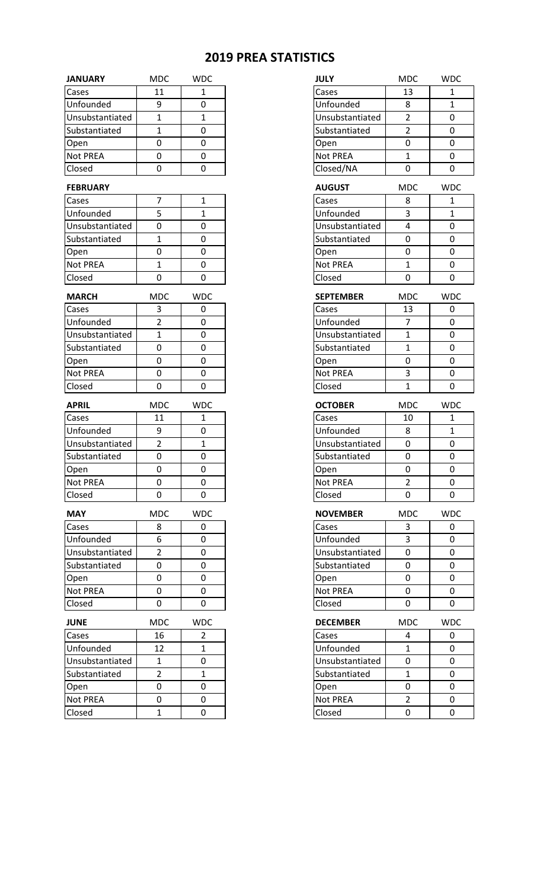| <b>JANUARY</b>  | <b>MDC</b>     | <b>WDC</b>     | <b>JULY</b>             | <b>MDC</b>     | <b>WDC</b>   |
|-----------------|----------------|----------------|-------------------------|----------------|--------------|
| Cases           | 11             | 1              | Cases                   | 13             | 1            |
| Unfounded       | 9              | 0              | Unfounded               | 8              | $\mathbf{1}$ |
| Unsubstantiated | $\mathbf{1}$   | $\mathbf{1}$   | Unsubstantiated         | $\overline{2}$ | 0            |
| Substantiated   | $\mathbf{1}$   | 0              | Substantiated           | $\overline{2}$ | $\mathbf 0$  |
| Open            | 0              | 0              | Open                    | 0              | 0            |
| <b>Not PREA</b> | 0              | 0              | Not PREA                | $\mathbf{1}$   | $\mathbf 0$  |
| Closed          | 0              | 0              | Closed/NA               | 0              | 0            |
| <b>FEBRUARY</b> |                |                | <b>AUGUST</b>           | <b>MDC</b>     | <b>WDC</b>   |
| Cases           | $\overline{7}$ | $\mathbf{1}$   | Cases                   | 8              | 1            |
| Unfounded       | 5              | $\mathbf{1}$   | Unfounded               | 3              | $\mathbf{1}$ |
| Unsubstantiated | 0              | 0              | Unsubstantiated         | 4              | 0            |
| Substantiated   | $\mathbf{1}$   | 0              | Substantiated           | 0              | 0            |
| Open            | 0              | 0              | Open                    | 0              | $\mathbf 0$  |
| <b>Not PREA</b> | $\mathbf{1}$   | 0              | <b>Not PREA</b>         | $\mathbf{1}$   | 0            |
| Closed          | 0              | 0              | Closed                  | 0              | 0            |
| <b>MARCH</b>    | <b>MDC</b>     | <b>WDC</b>     | <b>SEPTEMBER</b>        | <b>MDC</b>     | <b>WDC</b>   |
| Cases           | 3              | 0              | Cases                   | 13             | 0            |
| Unfounded       | $\overline{2}$ | 0              | Unfounded               | $\overline{7}$ | 0            |
| Unsubstantiated | $\mathbf{1}$   | 0              | Unsubstantiated         | $\mathbf{1}$   | 0            |
| Substantiated   | 0              | 0              | Substantiated           | 1              | 0            |
| Open            | 0              | 0              | Open                    | 0              | 0            |
| <b>Not PREA</b> | 0              | 0              | <b>Not PREA</b>         | 3              | 0            |
| Closed          | 0              | 0              | Closed                  | $\mathbf{1}$   | 0            |
|                 |                |                |                         |                |              |
| <b>APRIL</b>    | <b>MDC</b>     | <b>WDC</b>     | <b>OCTOBER</b><br>Cases | <b>MDC</b>     | <b>WDC</b>   |
| Cases           | 11             | $\mathbf{1}$   |                         | 10             | 1            |
| Unfounded       | 9              | 0              | Unfounded               | 8              | 1            |
| Unsubstantiated | $\overline{2}$ | $\mathbf{1}$   | Unsubstantiated         | 0              | $\mathbf 0$  |
| Substantiated   | $\pmb{0}$      | 0              | Substantiated           | 0              | 0            |
| Open            | $\Omega$       | $\Omega$       | Open                    | $\Omega$       | 0            |
| <b>Not PREA</b> | 0              | 0              | Not PREA                | $\overline{2}$ | 0            |
| Closed          | 0              | 0              | Closed                  | 0              | 0            |
| <b>MAY</b>      | <b>MDC</b>     | <b>WDC</b>     | <b>NOVEMBER</b>         | <b>MDC</b>     | <b>WDC</b>   |
| Cases           | 8              | 0              | Cases                   | 3              | 0            |
| Unfounded       | 6              | 0              | Unfounded               | 3              | 0            |
| Unsubstantiated | $\overline{2}$ | 0              | Unsubstantiated         | 0              | 0            |
| Substantiated   | 0              | 0              | Substantiated           | 0              | 0            |
| Open            | 0              | 0              | Open                    | 0              | 0            |
| <b>Not PREA</b> | 0              | 0              | Not PREA                | 0              | 0            |
| Closed          | 0              | 0              | Closed                  | 0              | 0            |
| <b>JUNE</b>     | <b>MDC</b>     | <b>WDC</b>     | <b>DECEMBER</b>         | <b>MDC</b>     | <b>WDC</b>   |
| Cases           | 16             | $\overline{2}$ | Cases                   | 4              | 0            |
| Unfounded       | 12             | 1              | Unfounded               | 1              | 0            |
| Unsubstantiated | $\mathbf{1}$   | 0              | Unsubstantiated         | 0              | 0            |
| Substantiated   | $\overline{2}$ | $\mathbf{1}$   | Substantiated           | $\mathbf{1}$   | 0            |
| Open            | $\mathbf 0$    | 0              | Open                    | 0              | 0            |
|                 |                |                |                         |                |              |
| Not PREA        | 0              | 0              | Not PREA                | $\overline{2}$ | 0            |

| <b>JULY</b>                                                              | <b>MDC</b>              | <b>WDC</b>     |
|--------------------------------------------------------------------------|-------------------------|----------------|
| Cases                                                                    | 13                      | 1              |
| Unfounded                                                                | 8                       | $\overline{1}$ |
| Unsubstantiated                                                          | $\overline{\mathbf{c}}$ | 0              |
| Substantiated                                                            | $\overline{2}$          | 0              |
| Open                                                                     | 0                       | 0              |
| Not PREA                                                                 | $\overline{1}$          | 0              |
| Closed/NA                                                                | 0                       | 0              |
| <b>AUGUST</b>                                                            | MDC                     | <b>WDC</b>     |
| Cases                                                                    | 8                       | 1              |
| Unfounded                                                                | 3                       | 1              |
| Unsubstantiated                                                          | 4                       | 0              |
| Substantiated                                                            | 0                       | 0              |
| Open                                                                     | 0                       | 0              |
| Not PREA                                                                 | $\overline{1}$          | 0              |
| Closed                                                                   | 0                       | 0              |
| <b>SEPTEMBER</b>                                                         | <b>MDC</b>              | <b>WDC</b>     |
| Cases                                                                    | 13                      | 0              |
| Unfounded                                                                | $\overline{7}$          | 0              |
| Unsubstantiated                                                          | $\mathbf 1$             | 0              |
| Substantiated                                                            | $\overline{1}$          | 0              |
| Open                                                                     | 0                       | 0              |
| Not PREA                                                                 | 3                       | 0              |
| Closed                                                                   | 1                       | 0              |
|                                                                          |                         |                |
|                                                                          |                         |                |
|                                                                          | MDC                     | <b>WDC</b>     |
|                                                                          | 10                      | $\mathbf 1$    |
|                                                                          | 8                       | $\mathbf 1$    |
|                                                                          | 0                       | 0              |
| <b>OCTOBER</b><br>Cases<br>Unfounded<br>Unsubstantiated<br>Substantiated | 0                       | 0              |
| Open                                                                     | 0                       | 0              |
| Not PREA                                                                 | $\overline{2}$          | 0              |
|                                                                          | 0                       | 0              |
|                                                                          | MDC                     | <b>WDC</b>     |
| Closed<br><b>NOVEMBER</b><br>Cases                                       | 3                       | 0              |
| Unfounded                                                                | 3                       | 0              |
| Unsubstantiated                                                          | 0                       | 0              |
| Substantiated                                                            | 0                       | 0              |
| Open                                                                     | 0                       | 0              |
| <b>Not PREA</b>                                                          | 0                       | 0              |
| Closed                                                                   | 0                       | 0              |
| <b>DECEMBER</b>                                                          | MDC                     | <b>WDC</b>     |
| Cases                                                                    | 4                       | 0              |
| Unfounded                                                                | $\mathbf 1$             | 0              |
| Unsubstantiated                                                          | 0                       | 0              |
| Substantiated                                                            | $\mathbf 1$             | 0              |
| Open                                                                     | 0                       | 0              |
| Not PREA                                                                 | 2                       | 0              |